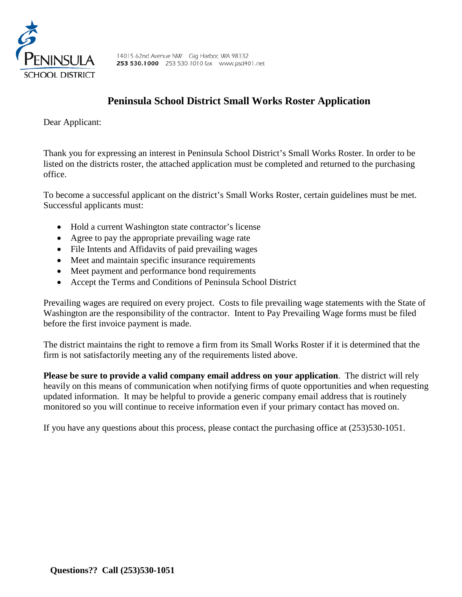

# **Peninsula School District Small Works Roster Application**

Dear Applicant:

Thank you for expressing an interest in Peninsula School District's Small Works Roster. In order to be listed on the districts roster, the attached application must be completed and returned to the purchasing office.

To become a successful applicant on the district's Small Works Roster, certain guidelines must be met. Successful applicants must:

- Hold a current Washington state contractor's license
- Agree to pay the appropriate prevailing wage rate
- File Intents and Affidavits of paid prevailing wages
- Meet and maintain specific insurance requirements
- Meet payment and performance bond requirements
- Accept the Terms and Conditions of Peninsula School District

Prevailing wages are required on every project. Costs to file prevailing wage statements with the State of Washington are the responsibility of the contractor. Intent to Pay Prevailing Wage forms must be filed before the first invoice payment is made.

The district maintains the right to remove a firm from its Small Works Roster if it is determined that the firm is not satisfactorily meeting any of the requirements listed above.

**Please be sure to provide a valid company email address on your application**. The district will rely heavily on this means of communication when notifying firms of quote opportunities and when requesting updated information. It may be helpful to provide a generic company email address that is routinely monitored so you will continue to receive information even if your primary contact has moved on.

If you have any questions about this process, please contact the purchasing office at (253)530-1051.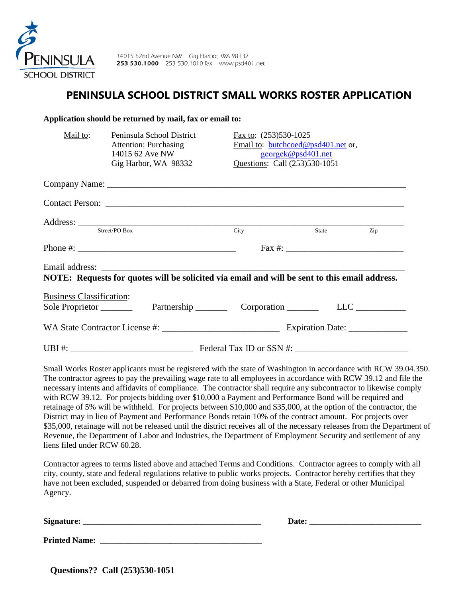

## **PENINSULA SCHOOL DISTRICT SMALL WORKS ROSTER APPLICATION**

| Application should be returned by mail, fax or email to:                                                                                                                                                                                                                                                                                                                                                                                                                                                                                                                                                                                                                                                                                                                                                                                                                                                                                                                                                                                                                                               |                                 |                                                                                           |     |
|--------------------------------------------------------------------------------------------------------------------------------------------------------------------------------------------------------------------------------------------------------------------------------------------------------------------------------------------------------------------------------------------------------------------------------------------------------------------------------------------------------------------------------------------------------------------------------------------------------------------------------------------------------------------------------------------------------------------------------------------------------------------------------------------------------------------------------------------------------------------------------------------------------------------------------------------------------------------------------------------------------------------------------------------------------------------------------------------------------|---------------------------------|-------------------------------------------------------------------------------------------|-----|
| Mail to:<br>Peninsula School District<br><b>Attention: Purchasing</b><br>14015 62 Ave NW<br>Gig Harbor, WA 98332                                                                                                                                                                                                                                                                                                                                                                                                                                                                                                                                                                                                                                                                                                                                                                                                                                                                                                                                                                                       | Fax to: (253)530-1025           | Email to: butchcoed@psd401.net or,<br>georgek@psd401.net<br>Questions: Call (253)530-1051 |     |
|                                                                                                                                                                                                                                                                                                                                                                                                                                                                                                                                                                                                                                                                                                                                                                                                                                                                                                                                                                                                                                                                                                        |                                 |                                                                                           |     |
|                                                                                                                                                                                                                                                                                                                                                                                                                                                                                                                                                                                                                                                                                                                                                                                                                                                                                                                                                                                                                                                                                                        |                                 |                                                                                           |     |
| Address: <u>Street/PO Box</u> City                                                                                                                                                                                                                                                                                                                                                                                                                                                                                                                                                                                                                                                                                                                                                                                                                                                                                                                                                                                                                                                                     |                                 | State                                                                                     | Zip |
|                                                                                                                                                                                                                                                                                                                                                                                                                                                                                                                                                                                                                                                                                                                                                                                                                                                                                                                                                                                                                                                                                                        | $\text{Fax } \#:$               |                                                                                           |     |
| Email address: the contract of the contract of the contract of the contract of the contract of the contract of the contract of the contract of the contract of the contract of the contract of the contract of the contract of<br>NOTE: Requests for quotes will be solicited via email and will be sent to this email address.<br><b>Business Classification:</b><br>Sole Proprietor                                                                                                                                                                                                                                                                                                                                                                                                                                                                                                                                                                                                                                                                                                                  | Partnership Corporation LLC LLC |                                                                                           |     |
|                                                                                                                                                                                                                                                                                                                                                                                                                                                                                                                                                                                                                                                                                                                                                                                                                                                                                                                                                                                                                                                                                                        |                                 |                                                                                           |     |
| Small Works Roster applicants must be registered with the state of Washington in accordance with RCW 39.04.350.<br>The contractor agrees to pay the prevailing wage rate to all employees in accordance with RCW 39.12 and file the<br>necessary intents and affidavits of compliance. The contractor shall require any subcontractor to likewise comply<br>with RCW 39.12. For projects bidding over \$10,000 a Payment and Performance Bond will be required and<br>retainage of 5% will be withheld. For projects between \$10,000 and \$35,000, at the option of the contractor, the<br>District may in lieu of Payment and Performance Bonds retain 10% of the contract amount. For projects over<br>\$35,000, retainage will not be released until the district receives all of the necessary releases from the Department of<br>Revenue, the Department of Labor and Industries, the Department of Employment Security and settlement of any<br>liens filed under RCW 60.28.<br>Contractor agrees to terms listed above and attached Terms and Conditions. Contractor agrees to comply with all |                                 |                                                                                           |     |

Contractor agrees to terms listed above and attached Terms and Conditions. Contractor agrees to comply with all city, county, state and federal regulations relative to public works projects. Contractor hereby certifies that they have not been excluded, suspended or debarred from doing business with a State, Federal or other Municipal Agency.

**Signature: \_\_\_\_\_\_\_\_\_\_\_\_\_\_\_\_\_\_\_\_\_\_\_\_\_\_\_\_\_\_\_\_\_\_\_\_\_\_\_\_\_\_\_ Date: \_\_\_\_\_\_\_\_\_\_\_\_\_\_\_\_\_\_\_\_\_\_\_\_\_\_\_** 

**Printed Name: \_\_\_\_\_\_\_\_\_\_\_\_\_\_\_\_\_\_\_\_\_\_\_\_\_\_\_\_\_\_\_\_\_\_\_\_\_\_\_** 

**Questions?? Call (253)530-1051**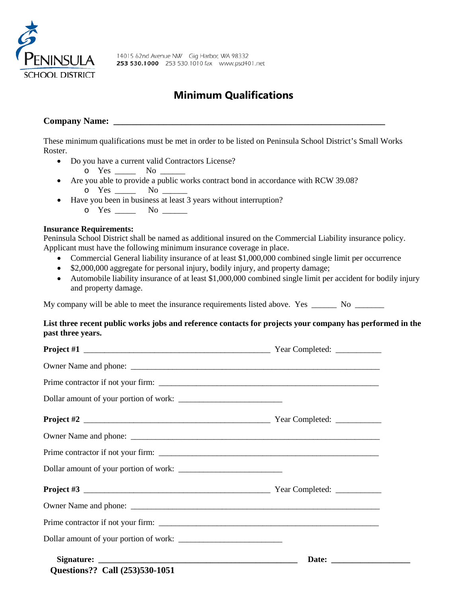

# **Minimum Qualifications**

# **Company Name: \_\_\_\_\_\_\_\_\_\_\_\_\_\_\_\_\_\_\_\_\_\_\_\_\_\_\_\_\_\_\_\_\_\_\_\_\_\_\_\_\_\_\_\_\_\_\_\_\_\_\_\_\_\_\_\_\_\_\_\_**

These minimum qualifications must be met in order to be listed on Peninsula School District's Small Works Roster.

• Do you have a current valid Contractors License?

 $\circ$  Yes  $\_\_$  No

- Are you able to provide a public works contract bond in accordance with RCW 39.08? o Yes \_\_\_\_\_ No \_\_\_\_\_
- Have you been in business at least 3 years without interruption?
	- o Yes \_\_\_\_\_ No \_\_\_\_\_

### **Insurance Requirements:**

Peninsula School District shall be named as additional insured on the Commercial Liability insurance policy. Applicant must have the following minimum insurance coverage in place.

- Commercial General liability insurance of at least \$1,000,000 combined single limit per occurrence
- \$2,000,000 aggregate for personal injury, bodily injury, and property damage;
- Automobile liability insurance of at least \$1,000,000 combined single limit per accident for bodily injury and property damage.

My company will be able to meet the insurance requirements listed above. Yes \_\_\_\_\_\_ No \_\_\_\_\_\_\_

#### **List three recent public works jobs and reference contacts for projects your company has performed in the past three years.**

| Questions?? Call (253)530-1051 |  |
|--------------------------------|--|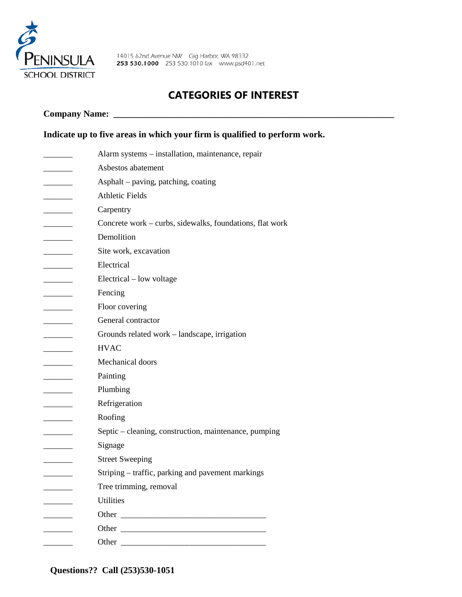

## **CATEGORIES OF INTEREST**

### **Company Name: \_\_\_\_\_\_\_\_\_\_\_\_\_\_\_\_\_\_\_\_\_\_\_\_\_\_\_\_\_\_\_\_\_\_\_\_\_\_\_\_\_\_\_\_\_\_\_\_\_\_\_\_\_\_\_\_\_\_\_\_\_\_**

## **Indicate up to five areas in which your firm is qualified to perform work.**

|                             | Alarm systems – installation, maintenance, repair        |
|-----------------------------|----------------------------------------------------------|
|                             | Asbestos abatement                                       |
|                             | Asphalt – paving, patching, coating                      |
|                             | <b>Athletic Fields</b>                                   |
|                             | Carpentry                                                |
|                             | Concrete work – curbs, sidewalks, foundations, flat work |
| $\sim$ $\sim$ $\sim$ $\sim$ | Demolition                                               |
|                             | Site work, excavation                                    |
|                             | Electrical                                               |
| _____                       | Electrical – low voltage                                 |
| _______                     | Fencing                                                  |
| ________                    | Floor covering                                           |
|                             | General contractor                                       |
|                             | Grounds related work – landscape, irrigation             |
|                             | <b>HVAC</b>                                              |
| $\overline{\phantom{a}}$    | Mechanical doors                                         |
|                             | Painting                                                 |
| $\overline{\phantom{a}}$    | Plumbing                                                 |
|                             | Refrigeration                                            |
|                             | Roofing                                                  |
|                             | Septic – cleaning, construction, maintenance, pumping    |
|                             | Signage                                                  |
|                             | <b>Street Sweeping</b>                                   |
|                             | Striping – traffic, parking and pavement markings        |
|                             | Tree trimming, removal                                   |
|                             | <b>Utilities</b>                                         |
|                             |                                                          |
| $\overline{\phantom{0}}$    | Other                                                    |
|                             | Other                                                    |
|                             |                                                          |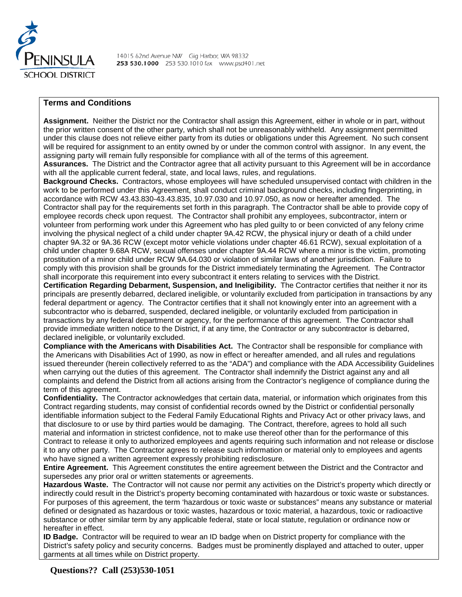

#### **Terms and Conditions**

**Assignment.** Neither the District nor the Contractor shall assign this Agreement, either in whole or in part, without the prior written consent of the other party, which shall not be unreasonably withheld. Any assignment permitted under this clause does not relieve either party from its duties or obligations under this Agreement. No such consent will be required for assignment to an entity owned by or under the common control with assignor. In any event, the assigning party will remain fully responsible for compliance with all of the terms of this agreement.

**Assurances.** The District and the Contractor agree that all activity pursuant to this Agreement will be in accordance with all the applicable current federal, state, and local laws, rules, and regulations.

**Background Checks.** Contractors, whose employees will have scheduled unsupervised contact with children in the work to be performed under this Agreement, shall conduct criminal background checks, including fingerprinting, in accordance with RCW 43.43.830-43.43.835, 10.97.030 and 10.97.050, as now or hereafter amended. The Contractor shall pay for the requirements set forth in this paragraph. The Contractor shall be able to provide copy of employee records check upon request. The Contractor shall prohibit any employees, subcontractor, intern or volunteer from performing work under this Agreement who has pled guilty to or been convicted of any felony crime involving the physical neglect of a child under chapter 9A.42 RCW, the physical injury or death of a child under chapter 9A.32 or 9A.36 RCW (except motor vehicle violations under chapter 46.61 RCW), sexual exploitation of a child under chapter 9.68A RCW, sexual offenses under chapter 9A.44 RCW where a minor is the victim, promoting prostitution of a minor child under RCW 9A.64.030 or violation of similar laws of another jurisdiction. Failure to comply with this provision shall be grounds for the District immediately terminating the Agreement. The Contractor shall incorporate this requirement into every subcontract it enters relating to services with the District.

**Certification Regarding Debarment, Suspension, and Ineligibility.** The Contractor certifies that neither it nor its principals are presently debarred, declared ineligible, or voluntarily excluded from participation in transactions by any federal department or agency. The Contractor certifies that it shall not knowingly enter into an agreement with a subcontractor who is debarred, suspended, declared ineligible, or voluntarily excluded from participation in transactions by any federal department or agency, for the performance of this agreement. The Contractor shall provide immediate written notice to the District, if at any time, the Contractor or any subcontractor is debarred, declared ineligible, or voluntarily excluded.

**Compliance with the Americans with Disabilities Act.** The Contractor shall be responsible for compliance with the Americans with Disabilities Act of 1990, as now in effect or hereafter amended, and all rules and regulations issued thereunder (herein collectively referred to as the "ADA") and compliance with the ADA Accessibility Guidelines when carrying out the duties of this agreement. The Contractor shall indemnify the District against any and all complaints and defend the District from all actions arising from the Contractor's negligence of compliance during the term of this agreement.

**Confidentiality.** The Contractor acknowledges that certain data, material, or information which originates from this Contract regarding students, may consist of confidential records owned by the District or confidential personally identifiable information subject to the Federal Family Educational Rights and Privacy Act or other privacy laws, and that disclosure to or use by third parties would be damaging. The Contract, therefore, agrees to hold all such material and information in strictest confidence, not to make use thereof other than for the performance of this Contract to release it only to authorized employees and agents requiring such information and not release or disclose it to any other party. The Contractor agrees to release such information or material only to employees and agents who have signed a written agreement expressly prohibiting redisclosure.

**Entire Agreement.** This Agreement constitutes the entire agreement between the District and the Contractor and supersedes any prior oral or written statements or agreements.

**Hazardous Waste.** The Contractor will not cause nor permit any activities on the District's property which directly or indirectly could result in the District's property becoming contaminated with hazardous or toxic waste or substances. For purposes of this agreement, the term 'hazardous or toxic waste or substances" means any substance or material defined or designated as hazardous or toxic wastes, hazardous or toxic material, a hazardous, toxic or radioactive substance or other similar term by any applicable federal, state or local statute, regulation or ordinance now or hereafter in effect.

**ID Badge.** Contractor will be required to wear an ID badge when on District property for compliance with the District's safety policy and security concerns. Badges must be prominently displayed and attached to outer, upper garments at all times while on District property.